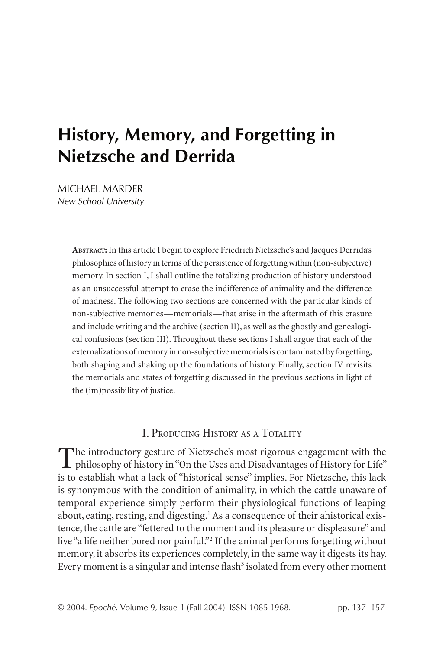# **History, Memory, and Forgetting in Nietzsche and Derrida**

MICHAEL MARDER *New School University*

> **ABSTRACT:** In this article I begin to explore Friedrich Nietzsche's and Jacques Derrida's philosophies of history in terms of the persistence of forgetting within (non-subjective) memory. In section I, I shall outline the totalizing production of history understood as an unsuccessful attempt to erase the indifference of animality and the difference of madness. The following two sections are concerned with the particular kinds of non-subjective memories—memorials—that arise in the aftermath of this erasure and include writing and the archive (section II), as well as the ghostly and genealogical confusions (section III). Throughout these sections I shall argue that each of the externalizations of memory in non-subjective memorials is contaminated by forgetting, both shaping and shaking up the foundations of history. Finally, section IV revisits the memorials and states of forgetting discussed in the previous sections in light of the (im)possibility of justice.

#### I. PRODUCING HISTORY AS A TOTALITY

The introductory gesture of Nietzsche's most rigorous engagement with the philosophy of history in "On the Uses and Disadvantages of History for Life" is to establish what a lack of "historical sense" implies. For Nietzsche, this lack is synonymous with the condition of animality, in which the cattle unaware of temporal experience simply perform their physiological functions of leaping about, eating, resting, and digesting.<sup>1</sup> As a consequence of their ahistorical existence, the cattle are "fettered to the moment and its pleasure or displeasure" and live "a life neither bored nor painful."2 If the animal performs forgetting without memory, it absorbs its experiences completely, in the same way it digests its hay. Every moment is a singular and intense flash<sup>3</sup> isolated from every other moment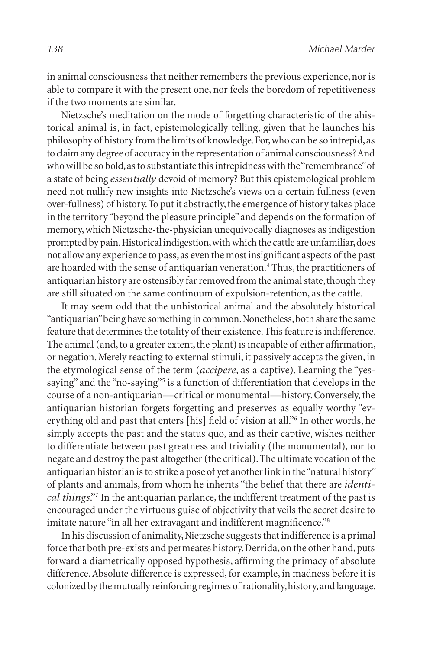in animal consciousness that neither remembers the previous experience, nor is able to compare it with the present one, nor feels the boredom of repetitiveness if the two moments are similar.

Nietzsche's meditation on the mode of forgetting characteristic of the ahistorical animal is, in fact, epistemologically telling, given that he launches his philosophy of history from the limits of knowledge. For, who can be so intrepid, as to claim any degree of accuracy in the representation of animal consciousness? And who will be so bold, as to substantiate this intrepidness with the "remembrance" of a state of being *essentially* devoid of memory? But this epistemological problem need not nullify new insights into Nietzsche's views on a certain fullness (even over-fullness) of history. To put it abstractly, the emergence of history takes place in the territory "beyond the pleasure principle" and depends on the formation of memory, which Nietzsche-the-physician unequivocally diagnoses as indigestion prompted by pain. Historical indigestion, with which the cattle are unfamiliar, does not allow any experience to pass, as even the most insignificant aspects of the past are hoarded with the sense of antiquarian veneration.<sup>4</sup> Thus, the practitioners of antiquarian history are ostensibly far removed from the animal state, though they are still situated on the same continuum of expulsion-retention, as the cattle.

It may seem odd that the unhistorical animal and the absolutely historical "antiquarian" being have something in common. Nonetheless, both share the same feature that determines the totality of their existence. This feature is indifference. The animal (and, to a greater extent, the plant) is incapable of either affirmation, or negation. Merely reacting to external stimuli, it passively accepts the given, in the etymological sense of the term (*accipere*, as a captive). Learning the "yessaying" and the "no-saying"<sup>5</sup> is a function of differentiation that develops in the course of a non-antiquarian—critical or monumental—history. Conversely, the antiquarian historian forgets forgetting and preserves as equally worthy "everything old and past that enters [his] field of vision at all."<sup>6</sup> In other words, he simply accepts the past and the status quo, and as their captive, wishes neither to differentiate between past greatness and triviality (the monumental), nor to negate and destroy the past altogether (the critical). The ultimate vocation of the antiquarian historian is to strike a pose of yet another link in the "natural history" of plants and animals, from whom he inherits "the belief that there are *identical things*."7 In the antiquarian parlance, the indifferent treatment of the past is encouraged under the virtuous guise of objectivity that veils the secret desire to imitate nature "in all her extravagant and indifferent magnificence."<sup>8</sup>

In his discussion of animality, Nietzsche suggests that indifference is a primal force that both pre-exists and permeates history. Derrida, on the other hand, puts forward a diametrically opposed hypothesis, affirming the primacy of absolute difference. Absolute difference is expressed, for example, in madness before it is colonized by the mutually reinforcing regimes of rationality, history, and language.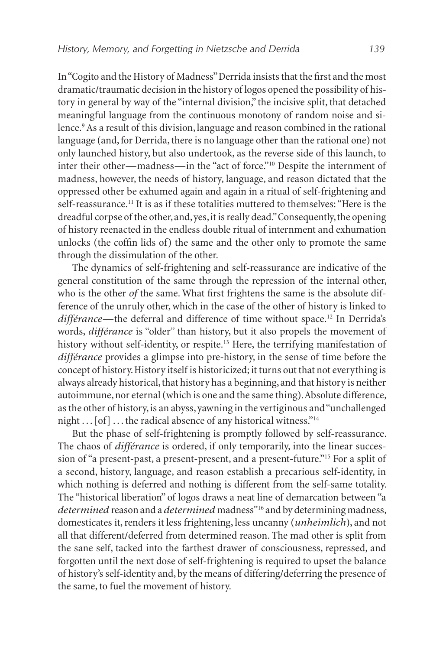In "Cogito and the History of Madness" Derrida insists that the first and the most dramatic/traumatic decision in the history of logos opened the possibility of history in general by way of the "internal division," the incisive split, that detached meaningful language from the continuous monotony of random noise and silence.<sup>9</sup> As a result of this division, language and reason combined in the rational language (and, for Derrida, there is no language other than the rational one) not only launched history, but also undertook, as the reverse side of this launch, to inter their other—madness—in the "act of force."10 Despite the internment of madness, however, the needs of history, language, and reason dictated that the oppressed other be exhumed again and again in a ritual of self-frightening and self-reassurance.<sup>11</sup> It is as if these totalities muttered to themselves: "Here is the dreadful corpse of the other, and, yes, it is really dead." Consequently, the opening of history reenacted in the endless double ritual of internment and exhumation unlocks (the coffin lids of) the same and the other only to promote the same through the dissimulation of the other.

The dynamics of self-frightening and self-reassurance are indicative of the general constitution of the same through the repression of the internal other, who is the other *of* the same. What first frightens the same is the absolute difference of the unruly other, which in the case of the other of history is linked to *différance*—the deferral and difference of time without space.12 In Derrida's words, *différance* is "older" than history, but it also propels the movement of history without self-identity, or respite.<sup>13</sup> Here, the terrifying manifestation of *différance* provides a glimpse into pre-history, in the sense of time before the concept of history. History itself is historicized; it turns out that not everything is always already historical, that history has a beginning, and that history is neither autoimmune, nor eternal (which is one and the same thing). Absolute difference, as the other of history, is an abyss, yawning in the vertiginous and "unchallenged night  $\dots$  [of]  $\dots$  the radical absence of any historical witness."<sup>14</sup>

But the phase of self-frightening is promptly followed by self-reassurance. The chaos of *différance* is ordered, if only temporarily, into the linear succession of "a present-past, a present-present, and a present-future."15 For a split of a second, history, language, and reason establish a precarious self-identity, in which nothing is deferred and nothing is different from the self-same totality. The "historical liberation" of logos draws a neat line of demarcation between "a *determined* reason and a *determined* madness"16 and by determining madness, domesticates it, renders it less frightening, less uncanny (*unheimlich*), and not all that different/deferred from determined reason. The mad other is split from the sane self, tacked into the farthest drawer of consciousness, repressed, and forgotten until the next dose of self-frightening is required to upset the balance of history's self-identity and, by the means of differing/deferring the presence of the same, to fuel the movement of history.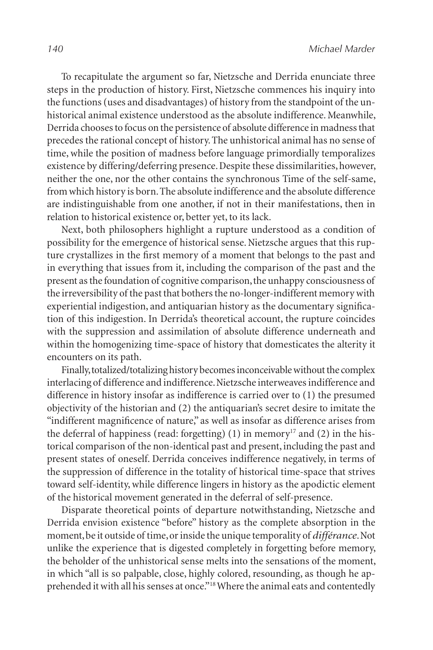To recapitulate the argument so far, Nietzsche and Derrida enunciate three steps in the production of history. First, Nietzsche commences his inquiry into the functions (uses and disadvantages) of history from the standpoint of the unhistorical animal existence understood as the absolute indifference. Meanwhile, Derrida chooses to focus on the persistence of absolute difference in madness that precedes the rational concept of history. The unhistorical animal has no sense of time, while the position of madness before language primordially temporalizes existence by differing/deferring presence. Despite these dissimilarities, however, neither the one, nor the other contains the synchronous Time of the self-same, from which history is born. The absolute indifference and the absolute difference are indistinguishable from one another, if not in their manifestations, then in relation to historical existence or, better yet, to its lack.

Next, both philosophers highlight a rupture understood as a condition of possibility for the emergence of historical sense. Nietzsche argues that this rupture crystallizes in the first memory of a moment that belongs to the past and in everything that issues from it, including the comparison of the past and the present as the foundation of cognitive comparison, the unhappy consciousness of the irreversibility of the past that bothers the no-longer-indifferent memory with experiential indigestion, and antiquarian history as the documentary signification of this indigestion. In Derrida's theoretical account, the rupture coincides with the suppression and assimilation of absolute difference underneath and within the homogenizing time-space of history that domesticates the alterity it encounters on its path.

Finally, totalized/totalizing history becomes inconceivable without the complex interlacing of difference and indifference. Nietzsche interweaves indifference and difference in history insofar as indifference is carried over to (1) the presumed objectivity of the historian and (2) the antiquarian's secret desire to imitate the "indifferent magnificence of nature," as well as insofar as difference arises from the deferral of happiness (read: forgetting) (1) in memory<sup>17</sup> and (2) in the historical comparison of the non-identical past and present, including the past and present states of oneself. Derrida conceives indifference negatively, in terms of the suppression of difference in the totality of historical time-space that strives toward self-identity, while difference lingers in history as the apodictic element of the historical movement generated in the deferral of self-presence.

Disparate theoretical points of departure notwithstanding, Nietzsche and Derrida envision existence "before" history as the complete absorption in the moment, be it outside of time, or inside the unique temporality of *différance*. Not unlike the experience that is digested completely in forgetting before memory, the beholder of the unhistorical sense melts into the sensations of the moment, in which "all is so palpable, close, highly colored, resounding, as though he apprehended it with all his senses at once."<sup>18</sup> Where the animal eats and contentedly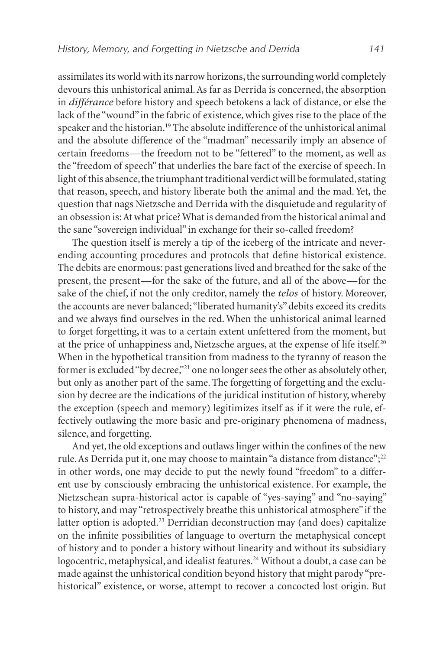assimilates its world with its narrow horizons, the surrounding world completely devours this unhistorical animal. As far as Derrida is concerned, the absorption in *différance* before history and speech betokens a lack of distance, or else the lack of the "wound" in the fabric of existence, which gives rise to the place of the speaker and the historian.<sup>19</sup> The absolute indifference of the unhistorical animal and the absolute difference of the "madman" necessarily imply an absence of certain freedoms—the freedom not to be "fettered" to the moment, as well as the "freedom of speech" that underlies the bare fact of the exercise of speech. In light of this absence, the triumphant traditional verdict will be formulated, stating that reason, speech, and history liberate both the animal and the mad. Yet, the question that nags Nietzsche and Derrida with the disquietude and regularity of an obsession is: At what price? What is demanded from the historical animal and the sane "sovereign individual" in exchange for their so-called freedom?

The question itself is merely a tip of the iceberg of the intricate and neverending accounting procedures and protocols that define historical existence. The debits are enormous: past generations lived and breathed for the sake of the present, the present—for the sake of the future, and all of the above—for the sake of the chief, if not the only creditor, namely the *telos* of history. Moreover, the accounts are never balanced; "liberated humanity's" debits exceed its credits and we always find ourselves in the red. When the unhistorical animal learned to forget forgetting, it was to a certain extent unfettered from the moment, but at the price of unhappiness and, Nietzsche argues, at the expense of life itself.<sup>20</sup> When in the hypothetical transition from madness to the tyranny of reason the former is excluded "by decree,"<sup>21</sup> one no longer sees the other as absolutely other, but only as another part of the same. The forgetting of forgetting and the exclusion by decree are the indications of the juridical institution of history, whereby the exception (speech and memory) legitimizes itself as if it were the rule, effectively outlawing the more basic and pre-originary phenomena of madness, silence, and forgetting.

And yet, the old exceptions and outlaws linger within the confines of the new rule. As Derrida put it, one may choose to maintain "a distance from distance";<sup>22</sup> in other words, one may decide to put the newly found "freedom" to a different use by consciously embracing the unhistorical existence. For example, the Nietzschean supra-historical actor is capable of "yes-saying" and "no-saying" to history, and may "retrospectively breathe this unhistorical atmosphere" if the latter option is adopted.<sup>23</sup> Derridian deconstruction may (and does) capitalize on the infinite possibilities of language to overturn the metaphysical concept of history and to ponder a history without linearity and without its subsidiary logocentric, metaphysical, and idealist features.<sup>24</sup> Without a doubt, a case can be made against the unhistorical condition beyond history that might parody "prehistorical" existence, or worse, attempt to recover a concocted lost origin. But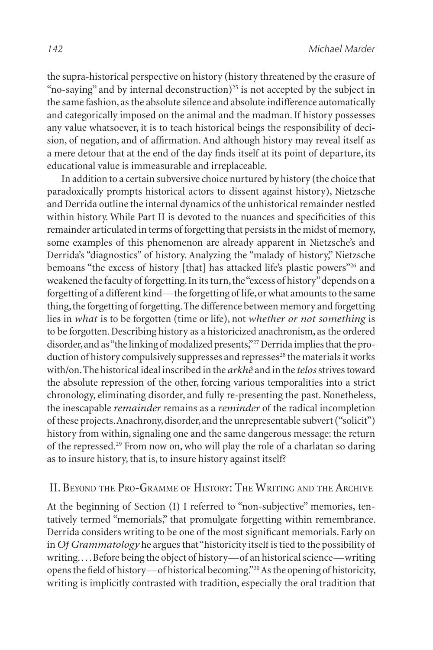the supra-historical perspective on history (history threatened by the erasure of "no-saying" and by internal deconstruction)<sup>25</sup> is not accepted by the subject in the same fashion, as the absolute silence and absolute indifference automatically and categorically imposed on the animal and the madman. If history possesses any value whatsoever, it is to teach historical beings the responsibility of decision, of negation, and of affirmation. And although history may reveal itself as a mere detour that at the end of the day finds itself at its point of departure, its educational value is immeasurable and irreplaceable.

In addition to a certain subversive choice nurtured by history (the choice that paradoxically prompts historical actors to dissent against history), Nietzsche and Derrida outline the internal dynamics of the unhistorical remainder nestled within history. While Part II is devoted to the nuances and specificities of this remainder articulated in terms of forgetting that persists in the midst of memory, some examples of this phenomenon are already apparent in Nietzsche's and Derrida's "diagnostics" of history. Analyzing the "malady of history," Nietzsche bemoans "the excess of history [that] has attacked life's plastic powers"<sup>26</sup> and weakened the faculty of forgetting. In its turn, the "excess of history" depends on a forgetting of a different kind—the forgetting of life, or what amounts to the same thing, the forgetting of forgetting. The difference between memory and forgetting lies in *what* is to be forgotten (time or life), not *whether or not something* is to be forgotten. Describing history as a historicized anachronism, as the ordered disorder, and as "the linking of modalized presents,"27 Derrida implies that the production of history compulsively suppresses and represses<sup>28</sup> the materials it works with/on. The historical ideal inscribed in the *arkhê* and in the *telos* strives toward the absolute repression of the other, forcing various temporalities into a strict chronology, eliminating disorder, and fully re-presenting the past. Nonetheless, the inescapable *remainder* remains as a *reminder* of the radical incompletion of these projects. Anachrony, disorder, and the unrepresentable subvert ("solicit") history from within, signaling one and the same dangerous message: the return of the repressed.<sup>29</sup> From now on, who will play the role of a charlatan so daring as to insure history, that is, to insure history against itself?

#### II. BEYOND THE PRO-GRAMME OF HISTORY: THE WRITING AND THE ARCHIVE

At the beginning of Section (I) I referred to "non-subjective" memories, tentatively termed "memorials," that promulgate forgetting within remembrance. Derrida considers writing to be one of the most significant memorials. Early on in *Of Grammatology* he argues that "historicity itself is tied to the possibility of writing. . . . Before being the object of history—of an historical science—writing opens the field of history—of historical becoming."<sup>30</sup> As the opening of historicity, writing is implicitly contrasted with tradition, especially the oral tradition that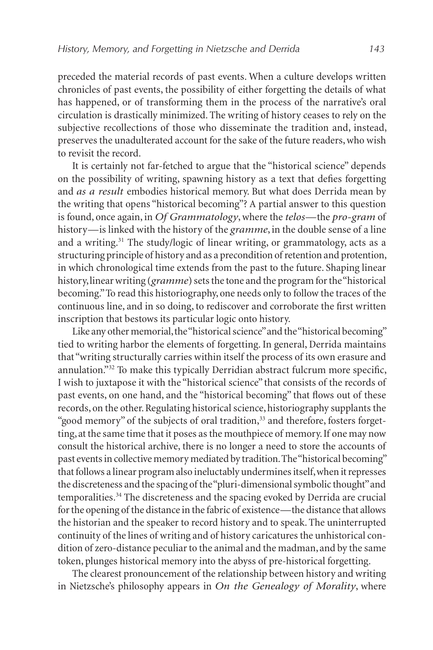preceded the material records of past events. When a culture develops written chronicles of past events, the possibility of either forgetting the details of what has happened, or of transforming them in the process of the narrative's oral circulation is drastically minimized. The writing of history ceases to rely on the subjective recollections of those who disseminate the tradition and, instead, preserves the unadulterated account for the sake of the future readers, who wish to revisit the record.

It is certainly not far-fetched to argue that the "historical science" depends on the possibility of writing, spawning history as a text that defies forgetting and *as a result* embodies historical memory. But what does Derrida mean by the writing that opens "historical becoming"? A partial answer to this question is found, once again, in *Of Grammatology*, where the *telos*—the *pro-gram* of history—is linked with the history of the *gramme*, in the double sense of a line and a writing.<sup>31</sup> The study/logic of linear writing, or grammatology, acts as a structuring principle of history and as a precondition of retention and protention, in which chronological time extends from the past to the future. Shaping linear history, linear writing (*gramme*) sets the tone and the program for the "historical becoming." To read this historiography, one needs only to follow the traces of the continuous line, and in so doing, to rediscover and corroborate the first written inscription that bestows its particular logic onto history.

Like any other memorial, the "historical science" and the "historical becoming" tied to writing harbor the elements of forgetting. In general, Derrida maintains that "writing structurally carries within itself the process of its own erasure and annulation."<sup>32</sup> To make this typically Derridian abstract fulcrum more specific, I wish to juxtapose it with the "historical science" that consists of the records of past events, on one hand, and the "historical becoming" that flows out of these records, on the other. Regulating historical science, historiography supplants the "good memory" of the subjects of oral tradition,<sup>33</sup> and therefore, fosters forgetting, at the same time that it poses as the mouthpiece of memory. If one may now consult the historical archive, there is no longer a need to store the accounts of past events in collective memory mediated by tradition. The "historical becoming" that follows a linear program also ineluctably undermines itself, when it represses the discreteness and the spacing of the "pluri-dimensional symbolic thought" and temporalities.<sup>34</sup> The discreteness and the spacing evoked by Derrida are crucial for the opening of the distance in the fabric of existence—the distance that allows the historian and the speaker to record history and to speak. The uninterrupted continuity of the lines of writing and of history caricatures the unhistorical condition of zero-distance peculiar to the animal and the madman, and by the same token, plunges historical memory into the abyss of pre-historical forgetting.

The clearest pronouncement of the relationship between history and writing in Nietzsche's philosophy appears in *On the Genealogy of Morality*, where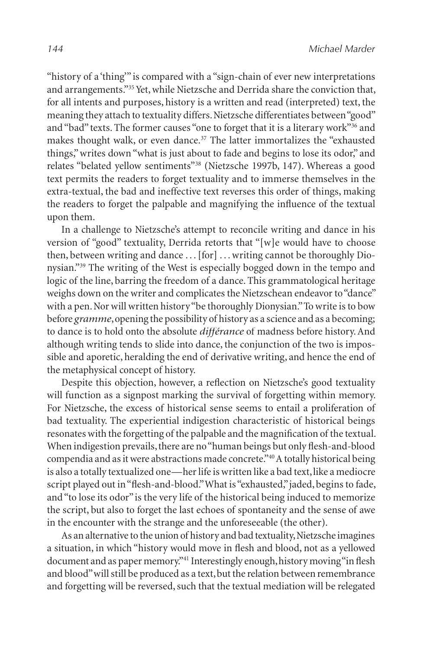"history of a 'thing'" is compared with a "sign-chain of ever new interpretations and arrangements."35 Yet, while Nietzsche and Derrida share the conviction that, for all intents and purposes, history is a written and read (interpreted) text, the meaning they attach to textuality differs. Nietzsche differentiates between "good" and "bad" texts. The former causes "one to forget that it is a literary work"<sup>36</sup> and makes thought walk, or even dance.<sup>37</sup> The latter immortalizes the "exhausted" things," writes down "what is just about to fade and begins to lose its odor," and relates "belated yellow sentiments"38 (Nietzsche 1997b, 147). Whereas a good text permits the readers to forget textuality and to immerse themselves in the extra-textual, the bad and ineffective text reverses this order of things, making the readers to forget the palpable and magnifying the influence of the textual upon them.

In a challenge to Nietzsche's attempt to reconcile writing and dance in his version of "good" textuality, Derrida retorts that "[w]e would have to choose then, between writing and dance . . . [for] ... writing cannot be thoroughly Dionysian."39 The writing of the West is especially bogged down in the tempo and logic of the line, barring the freedom of a dance. This grammatological heritage weighs down on the writer and complicates the Nietzschean endeavor to "dance" with a pen. Nor will written history "be thoroughly Dionysian." To write is to bow before *gramme*, opening the possibility of history as a science and as a becoming; to dance is to hold onto the absolute *différance* of madness before history. And although writing tends to slide into dance, the conjunction of the two is impossible and aporetic, heralding the end of derivative writing, and hence the end of the metaphysical concept of history.

Despite this objection, however, a reflection on Nietzsche's good textuality will function as a signpost marking the survival of forgetting within memory. For Nietzsche, the excess of historical sense seems to entail a proliferation of bad textuality. The experiential indigestion characteristic of historical beings resonates with the forgetting of the palpable and the magnification of the textual. When indigestion prevails, there are no "human beings but only flesh-and-blood compendia and as it were abstractions made concrete."40 A totally historical being is also a totally textualized one—her life is written like a bad text, like a mediocre script played out in "flesh-and-blood." What is "exhausted," jaded, begins to fade, and "to lose its odor" is the very life of the historical being induced to memorize the script, but also to forget the last echoes of spontaneity and the sense of awe in the encounter with the strange and the unforeseeable (the other).

As an alternative to the union of history and bad textuality, Nietzsche imagines a situation, in which "history would move in flesh and blood, not as a yellowed document and as paper memory."<sup>41</sup> Interestingly enough, history moving "in flesh and blood" will still be produced as a text, but the relation between remembrance and forgetting will be reversed, such that the textual mediation will be relegated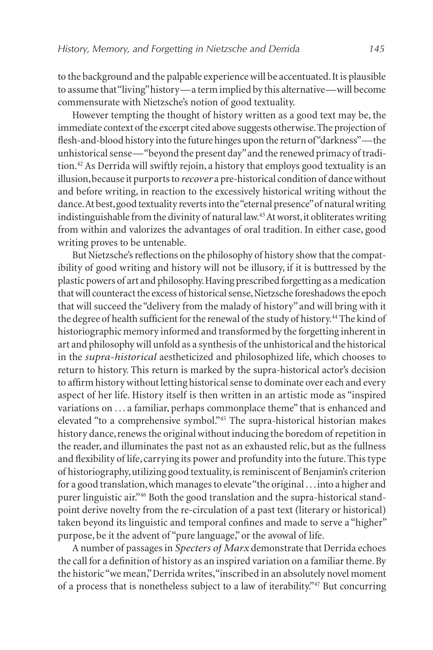to the background and the palpable experience will be accentuated. It is plausible to assume that "living" history—a term implied by this alternative—will become commensurate with Nietzsche's notion of good textuality.

However tempting the thought of history written as a good text may be, the immediate context of the excerpt cited above suggests otherwise. The projection of flesh-and-blood history into the future hinges upon the return of "darkness"—the unhistorical sense—"beyond the present day" and the renewed primacy of tradition.42 As Derrida will swiftly rejoin, a history that employs good textuality is an illusion, because it purports to *recovera* pre-historical condition of dance without and before writing, in reaction to the excessively historical writing without the dance. At best, good textuality reverts into the "eternal presence" of natural writing indistinguishable from the divinity of natural law.<sup>43</sup> At worst, it obliterates writing from within and valorizes the advantages of oral tradition. In either case, good writing proves to be untenable.

But Nietzsche's reflections on the philosophy of history show that the compatibility of good writing and history will not be illusory, if it is buttressed by the plastic powers of art and philosophy. Having prescribed forgetting as a medication that will counteract the excess of historical sense, Nietzsche foreshadows the epoch that will succeed the "delivery from the malady of history" and will bring with it the degree of health sufficient for the renewal of the study of history.<sup>44</sup> The kind of historiographic memory informed and transformed by the forgetting inherent in art and philosophy will unfold as a synthesis of the unhistorical and the historical in the *supra-historical* aestheticized and philosophized life, which chooses to return to history. This return is marked by the supra-historical actor's decision to affirm history without letting historical sense to dominate over each and every aspect of her life. History itself is then written in an artistic mode as "inspired variations on . . . a familiar, perhaps commonplace theme" that is enhanced and elevated "to a comprehensive symbol."45 The supra-historical historian makes history dance, renews the original without inducing the boredom of repetition in the reader, and illuminates the past not as an exhausted relic, but as the fullness and flexibility of life, carrying its power and profundity into the future. This type of historiography, utilizing good textuality, is reminiscent of Benjamin's criterion for a good translation, which manages to elevate "the original . . . into a higher and purer linguistic air."46 Both the good translation and the supra-historical standpoint derive novelty from the re-circulation of a past text (literary or historical) taken beyond its linguistic and temporal confines and made to serve a "higher" purpose, be it the advent of "pure language," or the avowal of life.

A number of passages in *Specters of Marx* demonstrate that Derrida echoes the call for a definition of history as an inspired variation on a familiar theme. By the historic "we mean," Derrida writes, "inscribed in an absolutely novel moment of a process that is nonetheless subject to a law of iterability."47 But concurring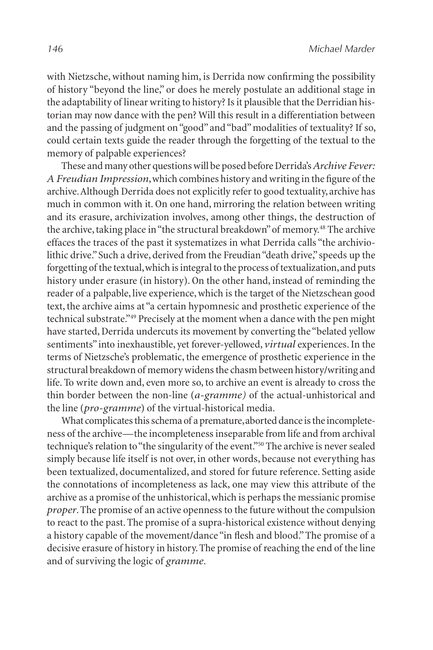with Nietzsche, without naming him, is Derrida now confirming the possibility of history "beyond the line," or does he merely postulate an additional stage in the adaptability of linear writing to history? Is it plausible that the Derridian historian may now dance with the pen? Will this result in a differentiation between and the passing of judgment on "good" and "bad" modalities of textuality? If so, could certain texts guide the reader through the forgetting of the textual to the memory of palpable experiences?

These and many other questions will be posed before Derrida's *Archive Fever: A Freudian Impression*, which combines history and writing in the figure of the archive. Although Derrida does not explicitly refer to good textuality, archive has much in common with it. On one hand, mirroring the relation between writing and its erasure, archivization involves, among other things, the destruction of the archive, taking place in "the structural breakdown" of memory.<sup>48</sup> The archive effaces the traces of the past it systematizes in what Derrida calls "the archiviolithic drive." Such a drive, derived from the Freudian "death drive," speeds up the forgetting of the textual, which is integral to the process of textualization, and puts history under erasure (in history). On the other hand, instead of reminding the reader of a palpable, live experience, which is the target of the Nietzschean good text, the archive aims at "a certain hypomnesic and prosthetic experience of the technical substrate."49 Precisely at the moment when a dance with the pen might have started, Derrida undercuts its movement by converting the "belated yellow sentiments" into inexhaustible, yet forever-yellowed, *virtual* experiences. In the terms of Nietzsche's problematic, the emergence of prosthetic experience in the structural breakdown of memory widens the chasm between history/writing and life. To write down and, even more so, to archive an event is already to cross the thin border between the non-line (*a-gramme)* of the actual-unhistorical and the line (*pro-gramme*) of the virtual-historical media.

What complicates this schema of a premature, aborted dance is the incompleteness of the archive—the incompleteness inseparable from life and from archival technique's relation to "the singularity of the event."50 The archive is never sealed simply because life itself is not over, in other words, because not everything has been textualized, documentalized, and stored for future reference. Setting aside the connotations of incompleteness as lack, one may view this attribute of the archive as a promise of the unhistorical, which is perhaps the messianic promise *proper*. The promise of an active openness to the future without the compulsion to react to the past. The promise of a supra-historical existence without denying a history capable of the movement/dance "in flesh and blood." The promise of a decisive erasure of history in history. The promise of reaching the end of the line and of surviving the logic of *gramme*.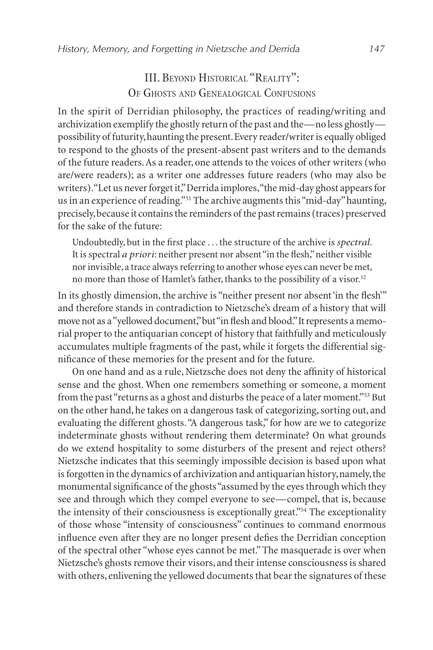III. BEYOND HISTORICAL "REALITY": OF GHOSTS AND GENEALOGICAL CONFUSIONS

In the spirit of Derridian philosophy, the practices of reading/writing and archivization exemplify the ghostly return of the past and the—no less ghostly possibility of futurity, haunting the present. Every reader/writer is equally obliged to respond to the ghosts of the present-absent past writers and to the demands of the future readers. As a reader, one attends to the voices of other writers (who are/were readers); as a writer one addresses future readers (who may also be writers). "Let us never forget it," Derrida implores, "the mid-day ghost appears for us in an experience of reading."51 The archive augments this "mid-day" haunting, precisely, because it contains the reminders of the past remains (traces) preserved for the sake of the future:

Undoubtedly, but in the first place ... the structure of the archive is *spectral*. It is spectral *a priori*: neither present nor absent "in the flesh," neither visible nor invisible, a trace always referring to another whose eyes can never be met, no more than those of Hamlet's father, thanks to the possibility of a visor.<sup>52</sup>

In its ghostly dimension, the archive is "neither present nor absent 'in the flesh'" and therefore stands in contradiction to Nietzsche's dream of a history that will move not as a "yellowed document," but "in flesh and blood." It represents a memorial proper to the antiquarian concept of history that faithfully and meticulously accumulates multiple fragments of the past, while it forgets the differential significance of these memories for the present and for the future.

On one hand and as a rule, Nietzsche does not deny the affinity of historical sense and the ghost. When one remembers something or someone, a moment from the past "returns as a ghost and disturbs the peace of a later moment."53 But on the other hand, he takes on a dangerous task of categorizing, sorting out, and evaluating the different ghosts. "A dangerous task," for how are we to categorize indeterminate ghosts without rendering them determinate? On what grounds do we extend hospitality to some disturbers of the present and reject others? Nietzsche indicates that this seemingly impossible decision is based upon what is forgotten in the dynamics of archivization and antiquarian history, namely, the monumental significance of the ghosts "assumed by the eyes through which they see and through which they compel everyone to see—compel, that is, because the intensity of their consciousness is exceptionally great."54 The exceptionality of those whose "intensity of consciousness" continues to command enormous influence even after they are no longer present defies the Derridian conception of the spectral other "whose eyes cannot be met." The masquerade is over when Nietzsche's ghosts remove their visors, and their intense consciousness is shared with others, enlivening the yellowed documents that bear the signatures of these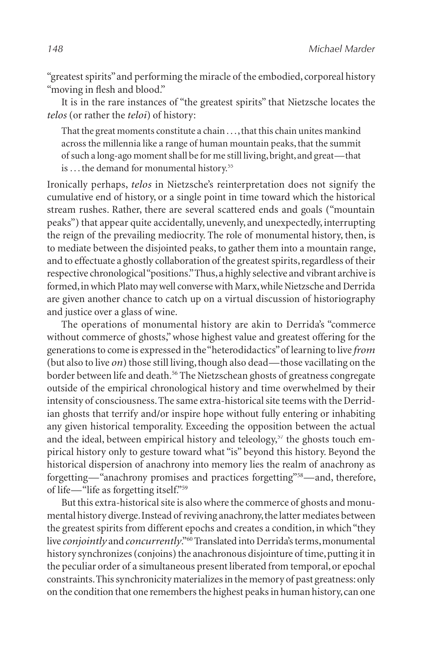"greatest spirits" and performing the miracle of the embodied, corporeal history "moving in flesh and blood."

It is in the rare instances of "the greatest spirits" that Nietzsche locates the *telos* (or rather the *teloi*) of history:

That the great moments constitute a chain . . . , that this chain unites mankind across the millennia like a range of human mountain peaks, that the summit of such a long-ago moment shall be for me still living, bright, and great—that is . . . the demand for monumental history.55

Ironically perhaps, *telos* in Nietzsche's reinterpretation does not signify the cumulative end of history, or a single point in time toward which the historical stream rushes. Rather, there are several scattered ends and goals ("mountain peaks") that appear quite accidentally, unevenly, and unexpectedly, interrupting the reign of the prevailing mediocrity. The role of monumental history, then, is to mediate between the disjointed peaks, to gather them into a mountain range, and to effectuate a ghostly collaboration of the greatest spirits, regardless of their respective chronological "positions." Thus, a highly selective and vibrant archive is formed, in which Plato may well converse with Marx, while Nietzsche and Derrida are given another chance to catch up on a virtual discussion of historiography and justice over a glass of wine.

The operations of monumental history are akin to Derrida's "commerce without commerce of ghosts," whose highest value and greatest offering for the generations to come is expressed in the "heterodidactics" of learning to live *from* (but also to live *on*) those still living, though also dead—those vacillating on the border between life and death.<sup>56</sup> The Nietzschean ghosts of greatness congregate outside of the empirical chronological history and time overwhelmed by their intensity of consciousness. The same extra-historical site teems with the Derridian ghosts that terrify and/or inspire hope without fully entering or inhabiting any given historical temporality. Exceeding the opposition between the actual and the ideal, between empirical history and teleology,<sup>57</sup> the ghosts touch empirical history only to gesture toward what "is" beyond this history. Beyond the historical dispersion of anachrony into memory lies the realm of anachrony as forgetting—"anachrony promises and practices forgetting"58—and, therefore, of life—"life as forgetting itself."59

But this extra-historical site is also where the commerce of ghosts and monumental history diverge. Instead of reviving anachrony, the latter mediates between the greatest spirits from different epochs and creates a condition, in which "they live *conjointly* and *concurrently*."<sup>60</sup> Translated into Derrida's terms, monumental history synchronizes (conjoins) the anachronous disjointure of time, putting it in the peculiar order of a simultaneous present liberated from temporal, or epochal constraints. This synchronicity materializes in the memory of past greatness: only on the condition that one remembers the highest peaks in human history, can one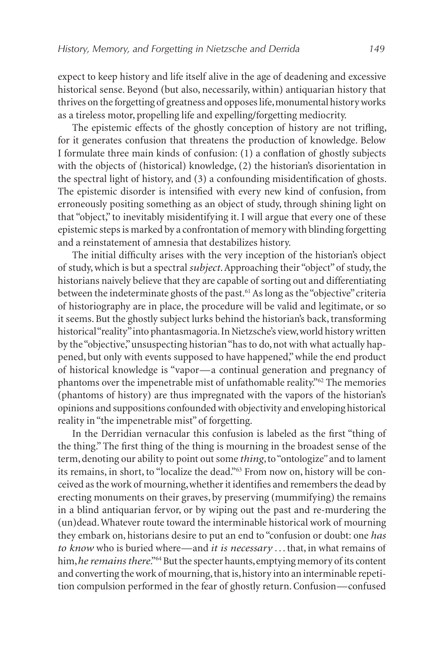expect to keep history and life itself alive in the age of deadening and excessive historical sense. Beyond (but also, necessarily, within) antiquarian history that thrives on the forgetting of greatness and opposes life, monumental history works as a tireless motor, propelling life and expelling/forgetting mediocrity.

The epistemic effects of the ghostly conception of history are not trifling, for it generates confusion that threatens the production of knowledge. Below I formulate three main kinds of confusion: (1) a conflation of ghostly subjects with the objects of (historical) knowledge, (2) the historian's disorientation in the spectral light of history, and (3) a confounding misidentification of ghosts. The epistemic disorder is intensified with every new kind of confusion, from erroneously positing something as an object of study, through shining light on that "object," to inevitably misidentifying it. I will argue that every one of these epistemic steps is marked by a confrontation of memory with blinding forgetting and a reinstatement of amnesia that destabilizes history.

The initial difficulty arises with the very inception of the historian's object of study, which is but a spectral *subject*. Approaching their "object" of study, the historians naively believe that they are capable of sorting out and differentiating between the indeterminate ghosts of the past.<sup>61</sup> As long as the "objective" criteria of historiography are in place, the procedure will be valid and legitimate, or so it seems. But the ghostly subject lurks behind the historian's back, transforming historical "reality" into phantasmagoria. In Nietzsche's view, world history written by the "objective," unsuspecting historian "has to do, not with what actually happened, but only with events supposed to have happened," while the end product of historical knowledge is "vapor—a continual generation and pregnancy of phantoms over the impenetrable mist of unfathomable reality."62 The memories (phantoms of history) are thus impregnated with the vapors of the historian's opinions and suppositions confounded with objectivity and enveloping historical reality in "the impenetrable mist" of forgetting.

In the Derridian vernacular this confusion is labeled as the first "thing of the thing." The first thing of the thing is mourning in the broadest sense of the term, denoting our ability to point out some *thing*, to "ontologize" and to lament its remains, in short, to "localize the dead."63 From now on, history will be conceived as the work of mourning, whether it identifies and remembers the dead by erecting monuments on their graves, by preserving (mummifying) the remains in a blind antiquarian fervor, or by wiping out the past and re-murdering the (un)dead. Whatever route toward the interminable historical work of mourning they embark on, historians desire to put an end to "confusion or doubt: one *has to know* who is buried where—and *it is necessary* ... that, in what remains of him, *he remains there*."<sup>64</sup> But the specter haunts, emptying memory of its content and converting the work of mourning, that is, history into an interminable repetition compulsion performed in the fear of ghostly return. Confusion—confused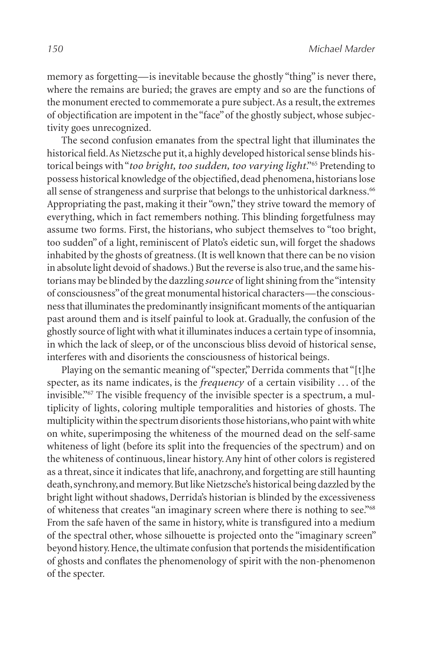memory as forgetting—is inevitable because the ghostly "thing" is never there, where the remains are buried; the graves are empty and so are the functions of the monument erected to commemorate a pure subject. As a result, the extremes of objectification are impotent in the "face" of the ghostly subject, whose subjectivity goes unrecognized.

The second confusion emanates from the spectral light that illuminates the historical field. As Nietzsche put it, a highly developed historical sense blinds historical beings with "*too bright, too sudden, too varying light*."65 Pretending to possess historical knowledge of the objectified, dead phenomena, historians lose all sense of strangeness and surprise that belongs to the unhistorical darkness.<sup>66</sup> Appropriating the past, making it their "own," they strive toward the memory of everything, which in fact remembers nothing. This blinding forgetfulness may assume two forms. First, the historians, who subject themselves to "too bright, too sudden" of a light, reminiscent of Plato's eidetic sun, will forget the shadows inhabited by the ghosts of greatness. (It is well known that there can be no vision in absolute light devoid of shadows.) But the reverse is also true, and the same historians may be blinded by the dazzling *source* of light shining from the "intensity of consciousness" of the great monumental historical characters—the consciousness that illuminates the predominantly insignificant moments of the antiquarian past around them and is itself painful to look at. Gradually, the confusion of the ghostly source of light with what it illuminates induces a certain type of insomnia, in which the lack of sleep, or of the unconscious bliss devoid of historical sense, interferes with and disorients the consciousness of historical beings.

Playing on the semantic meaning of "specter," Derrida comments that "[t]he specter, as its name indicates, is the *frequency* of a certain visibility . . . of the invisible."67 The visible frequency of the invisible specter is a spectrum, a multiplicity of lights, coloring multiple temporalities and histories of ghosts. The multiplicity within the spectrum disorients those historians, who paint with white on white, superimposing the whiteness of the mourned dead on the self-same whiteness of light (before its split into the frequencies of the spectrum) and on the whiteness of continuous, linear history. Any hint of other colors is registered as a threat, since it indicates that life, anachrony, and forgetting are still haunting death, synchrony, and memory. But like Nietzsche's historical being dazzled by the bright light without shadows, Derrida's historian is blinded by the excessiveness of whiteness that creates "an imaginary screen where there is nothing to see."<sup>68</sup> From the safe haven of the same in history, white is transfigured into a medium of the spectral other, whose silhouette is projected onto the "imaginary screen" beyond history. Hence, the ultimate confusion that portends the misidentification of ghosts and conflates the phenomenology of spirit with the non-phenomenon of the specter.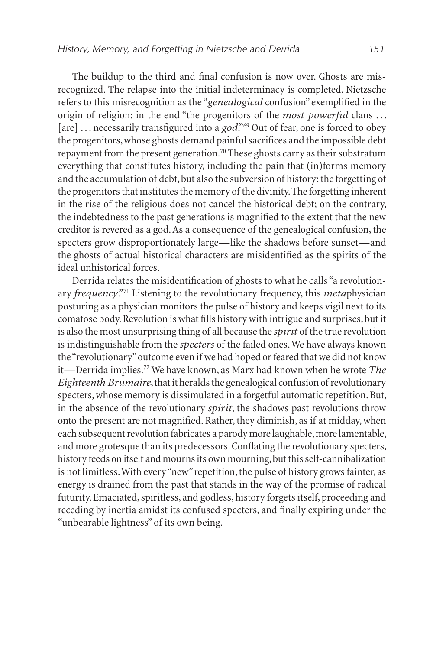The buildup to the third and final confusion is now over. Ghosts are misrecognized. The relapse into the initial indeterminacy is completed. Nietzsche refers to this misrecognition as the "*genealogical* confusion" exemplified in the origin of religion: in the end "the progenitors of the *most powerful* clans ... [are] ... necessarily transfigured into a *god*."<sup>69</sup> Out of fear, one is forced to obey the progenitors, whose ghosts demand painful sacrifices and the impossible debt repayment from the present generation.<sup>70</sup> These ghosts carry as their substratum everything that constitutes history, including the pain that (in)forms memory and the accumulation of debt, but also the subversion of history: the forgetting of the progenitors that institutes the memory of the divinity. The forgetting inherent in the rise of the religious does not cancel the historical debt; on the contrary, the indebtedness to the past generations is magnified to the extent that the new creditor is revered as a god. As a consequence of the genealogical confusion, the specters grow disproportionately large—like the shadows before sunset—and the ghosts of actual historical characters are misidentified as the spirits of the ideal unhistorical forces.

Derrida relates the misidentification of ghosts to what he calls "a revolutionary *frequency*."71 Listening to the revolutionary frequency, this *meta*physician posturing as a physician monitors the pulse of history and keeps vigil next to its comatose body. Revolution is what fills history with intrigue and surprises, but it is also the most unsurprising thing of all because the *spirit* of the true revolution is indistinguishable from the *specters* of the failed ones. We have always known the "revolutionary" outcome even if we had hoped or feared that we did not know it—Derrida implies.72 We have known, as Marx had known when he wrote *The Eighteenth Brumaire*, that it heralds the genealogical confusion of revolutionary specters, whose memory is dissimulated in a forgetful automatic repetition. But, in the absence of the revolutionary *spirit*, the shadows past revolutions throw onto the present are not magnified. Rather, they diminish, as if at midday, when each subsequent revolution fabricates a parody more laughable, more lamentable, and more grotesque than its predecessors. Conflating the revolutionary specters, history feeds on itself and mourns its own mourning, but this self-cannibalization is not limitless. With every "new" repetition, the pulse of history grows fainter, as energy is drained from the past that stands in the way of the promise of radical futurity. Emaciated, spiritless, and godless, history forgets itself, proceeding and receding by inertia amidst its confused specters, and finally expiring under the "unbearable lightness" of its own being.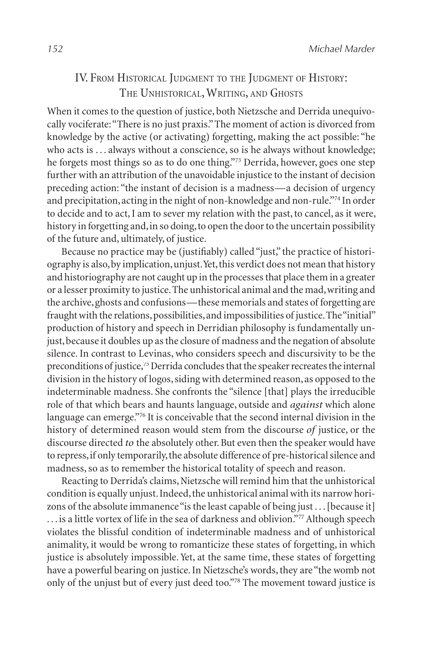## IV. FROM HISTORICAL JUDGMENT TO THE JUDGMENT OF HISTORY: THE UNHISTORICAL, WRITING, AND GHOSTS

When it comes to the question of justice, both Nietzsche and Derrida unequivocally vociferate: "There is no just praxis." The moment of action is divorced from knowledge by the active (or activating) forgetting, making the act possible: "he who acts is ... always without a conscience, so is he always without knowledge; he forgets most things so as to do one thing."73 Derrida, however, goes one step further with an attribution of the unavoidable injustice to the instant of decision preceding action: "the instant of decision is a madness—a decision of urgency and precipitation, acting in the night of non-knowledge and non-rule."74 In order to decide and to act, I am to sever my relation with the past, to cancel, as it were, history in forgetting and, in so doing, to open the door to the uncertain possibility of the future and, ultimately, of justice.

Because no practice may be (justifiably) called "just," the practice of historiography is also, by implication, unjust. Yet, this verdict does not mean that history and historiography are not caught up in the processes that place them in a greater or a lesser proximity to justice. The unhistorical animal and the mad, writing and the archive, ghosts and confusions—these memorials and states of forgetting are fraught with the relations, possibilities, and impossibilities of justice. The "initial" production of history and speech in Derridian philosophy is fundamentally unjust, because it doubles up as the closure of madness and the negation of absolute silence. In contrast to Levinas, who considers speech and discursivity to be the preconditions of justice,75 Derrida concludes that the speaker recreates the internal division in the history of logos, siding with determined reason, as opposed to the indeterminable madness. She confronts the "silence [that] plays the irreducible role of that which bears and haunts language, outside and *against* which alone language can emerge."76 It is conceivable that the second internal division in the history of determined reason would stem from the discourse *of* justice, or the discourse directed *to* the absolutely other. But even then the speaker would have to repress, if only temporarily, the absolute difference of pre-historical silence and madness, so as to remember the historical totality of speech and reason.

Reacting to Derrida's claims, Nietzsche will remind him that the unhistorical condition is equally unjust. Indeed, the unhistorical animal with its narrow horizons of the absolute immanence "is the least capable of being just . . . [because it] ... is a little vortex of life in the sea of darkness and oblivion."<sup>77</sup> Although speech violates the blissful condition of indeterminable madness and of unhistorical animality, it would be wrong to romanticize these states of forgetting, in which justice is absolutely impossible. Yet, at the same time, these states of forgetting have a powerful bearing on justice. In Nietzsche's words, they are "the womb not only of the unjust but of every just deed too."78 The movement toward justice is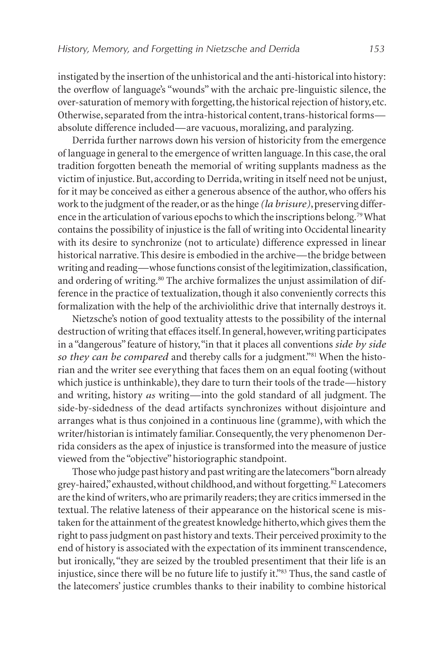instigated by the insertion of the unhistorical and the anti-historical into history: the overflow of language's "wounds" with the archaic pre-linguistic silence, the over-saturation of memory with forgetting, the historical rejection of history, etc. Otherwise, separated from the intra-historical content, trans-historical forms absolute difference included—are vacuous, moralizing, and paralyzing.

Derrida further narrows down his version of historicity from the emergence of language in general to the emergence of written language. In this case, the oral tradition forgotten beneath the memorial of writing supplants madness as the victim of injustice. But, according to Derrida, writing in itself need not be unjust, for it may be conceived as either a generous absence of the author, who offers his work to the judgment of the reader, or as the hinge *(la brisure)*, preserving difference in the articulation of various epochs to which the inscriptions belong.<sup>79</sup> What contains the possibility of injustice is the fall of writing into Occidental linearity with its desire to synchronize (not to articulate) difference expressed in linear historical narrative. This desire is embodied in the archive—the bridge between writing and reading—whose functions consist of the legitimization, classification, and ordering of writing.<sup>80</sup> The archive formalizes the unjust assimilation of difference in the practice of textualization, though it also conveniently corrects this formalization with the help of the archiviolithic drive that internally destroys it.

Nietzsche's notion of good textuality attests to the possibility of the internal destruction of writing that effaces itself. In general, however, writing participates in a "dangerous" feature of history, "in that it places all conventions *side by side so they can be compared* and thereby calls for a judgment."81 When the historian and the writer see everything that faces them on an equal footing (without which justice is unthinkable), they dare to turn their tools of the trade—history and writing, history *as* writing—into the gold standard of all judgment. The side-by-sidedness of the dead artifacts synchronizes without disjointure and arranges what is thus conjoined in a continuous line (gramme), with which the writer/historian is intimately familiar. Consequently, the very phenomenon Derrida considers as the apex of injustice is transformed into the measure of justice viewed from the "objective" historiographic standpoint.

Those who judge past history and past writing are the latecomers "born already grey-haired," exhausted, without childhood, and without forgetting.<sup>82</sup> Latecomers are the kind of writers, who are primarily readers; they are critics immersed in the textual. The relative lateness of their appearance on the historical scene is mistaken for the attainment of the greatest knowledge hitherto, which gives them the right to pass judgment on past history and texts. Their perceived proximity to the end of history is associated with the expectation of its imminent transcendence, but ironically, "they are seized by the troubled presentiment that their life is an injustice, since there will be no future life to justify it."83 Thus, the sand castle of the latecomers' justice crumbles thanks to their inability to combine historical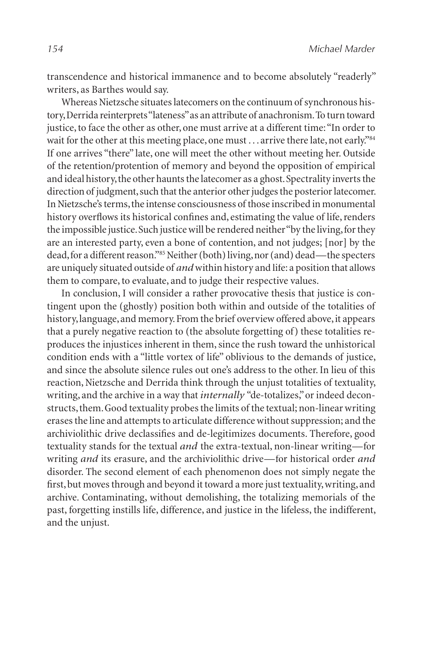transcendence and historical immanence and to become absolutely "readerly" writers, as Barthes would say.

Whereas Nietzsche situates latecomers on the continuum of synchronous history, Derrida reinterprets "lateness" as an attribute of anachronism. To turn toward justice, to face the other as other, one must arrive at a different time: "In order to wait for the other at this meeting place, one must . . . arrive there late, not early."<sup>84</sup> If one arrives "there" late, one will meet the other without meeting her. Outside of the retention/protention of memory and beyond the opposition of empirical and ideal history, the other haunts the latecomer as a ghost. Spectrality inverts the direction of judgment, such that the anterior other judges the posterior latecomer. In Nietzsche's terms, the intense consciousness of those inscribed in monumental history overflows its historical confines and, estimating the value of life, renders the impossible justice. Such justice will be rendered neither "by the living, for they are an interested party, even a bone of contention, and not judges; [nor] by the dead, for a different reason."85 Neither (both) living, nor (and) dead—the specters are uniquely situated outside of *and* within history and life: a position that allows them to compare, to evaluate, and to judge their respective values.

In conclusion, I will consider a rather provocative thesis that justice is contingent upon the (ghostly) position both within and outside of the totalities of history, language, and memory. From the brief overview offered above, it appears that a purely negative reaction to (the absolute forgetting of) these totalities reproduces the injustices inherent in them, since the rush toward the unhistorical condition ends with a "little vortex of life" oblivious to the demands of justice, and since the absolute silence rules out one's address to the other. In lieu of this reaction, Nietzsche and Derrida think through the unjust totalities of textuality, writing, and the archive in a way that *internally* "de-totalizes," or indeed deconstructs, them. Good textuality probes the limits of the textual; non-linear writing erases the line and attempts to articulate difference without suppression; and the archiviolithic drive declassifies and de-legitimizes documents. Therefore, good textuality stands for the textual *and* the extra-textual, non-linear writing—for writing *and* its erasure, and the archiviolithic drive—for historical order and disorder. The second element of each phenomenon does not simply negate the first, but moves through and beyond it toward a more just textuality, writing, and archive. Contaminating, without demolishing, the totalizing memorials of the past, forgetting instills life, difference, and justice in the lifeless, the indifferent, and the unjust.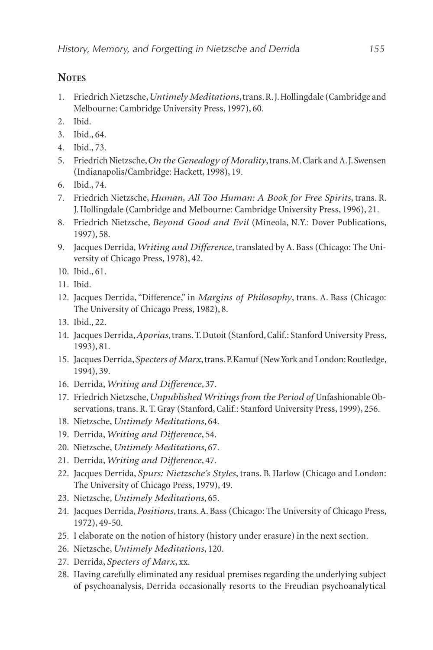### **NOTES**

- 1. Friedrich Nietzsche, *Untimely Meditations*, trans. R. J. Hollingdale (Cambridge and Melbourne: Cambridge University Press, 1997), 60.
- 2. Ibid.
- 3. Ibid., 64.
- 4. Ibid., 73.
- 5. Friedrich Nietzsche, *On the Genealogy of Morality*, trans. M. Clark and A. J. Swensen (Indianapolis/Cambridge: Hackett, 1998), 19.
- 6. Ibid., 74.
- 7. Friedrich Nietzsche, *Human, All Too Human: A Book for Free Spirits*, trans. R. J. Hollingdale (Cambridge and Melbourne: Cambridge University Press, 1996), 21.
- 8. Friedrich Nietzsche, *Beyond Good and Evil* (Mineola, N.Y.: Dover Publications, 1997), 58.
- 9. Jacques Derrida, *Writing and Difference*, translated by A. Bass (Chicago: The University of Chicago Press, 1978), 42.
- 10. Ibid., 61.
- 11. Ibid.
- 12. Jacques Derrida, "Difference," in *Margins of Philosophy*, trans. A. Bass (Chicago: The University of Chicago Press, 1982), 8.
- 13. Ibid., 22.
- 14. Jacques Derrida, *Aporias*, trans. T. Dutoit (Stanford, Calif.: Stanford University Press, 1993), 81.
- 15. Jacques Derrida, *Specters of Marx*, trans. P. Kamuf (New York and London: Routledge, 1994), 39.
- 16. Derrida, *Writing and Difference*, 37.
- 17. Friedrich Nietzsche, *Unpublished Writings from the Period of* Unfashionable Observations, trans. R. T. Gray (Stanford, Calif.: Stanford University Press, 1999), 256.
- 18. Nietzsche, *Untimely Meditations*, 64.
- 19. Derrida, *Writing and Difference*, 54.
- 20. Nietzsche, *Untimely Meditations*, 67.
- 21. Derrida, *Writing and Difference*, 47.
- 22. Jacques Derrida, *Spurs: Nietzsche's Styles*, trans. B. Harlow (Chicago and London: The University of Chicago Press, 1979), 49.
- 23. Nietzsche, *Untimely Meditations*, 65.
- 24. Jacques Derrida, *Positions*, trans. A. Bass (Chicago: The University of Chicago Press, 1972), 49-50.
- 25. I elaborate on the notion of history (history under erasure) in the next section.
- 26. Nietzsche, *Untimely Meditations*, 120.
- 27. Derrida, *Specters of Marx*, xx.
- 28. Having carefully eliminated any residual premises regarding the underlying subject of psychoanalysis, Derrida occasionally resorts to the Freudian psychoanalytical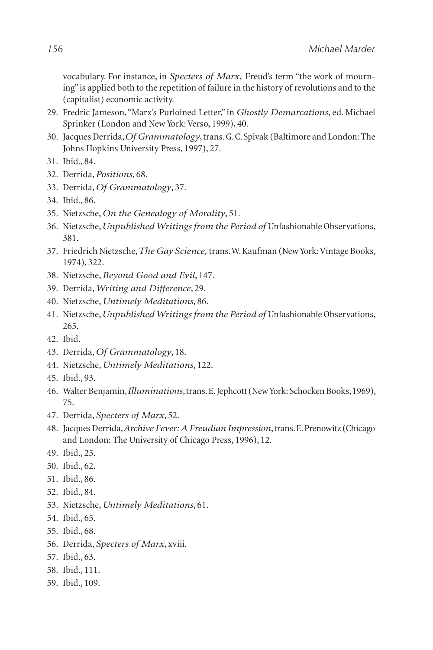vocabulary. For instance, in *Specters of Marx*, Freud's term "the work of mourning" is applied both to the repetition of failure in the history of revolutions and to the (capitalist) economic activity.

- 29. Fredric Jameson, "Marx's Purloined Letter," in *Ghostly Demarcations*, ed. Michael Sprinker (London and New York: Verso, 1999), 40.
- 30. Jacques Derrida, *Of Grammatology*, trans. G. C. Spivak (Baltimore and London: The Johns Hopkins University Press, 1997), 27.
- 31. Ibid., 84.
- 32. Derrida, *Positions*, 68.
- 33. Derrida, *Of Grammatology*, 37.
- 34. Ibid., 86.
- 35. Nietzsche, *On the Genealogy of Morality*, 51.
- 36. Nietzsche, *Unpublished Writings from the Period of* Unfashionable Observations, 381.
- 37. Friedrich Nietzsche, *The Gay Science,* trans. W. Kaufman (New York: Vintage Books, 1974), 322.
- 38. Nietzsche, *Beyond Good and Evil*, 147.
- 39. Derrida, *Writing and Difference*, 29.
- 40. Nietzsche, *Untimely Meditations*, 86.
- 41. Nietzsche, *Unpublished Writings from the Period of* Unfashionable Observations, 265.
- 42. Ibid.
- 43. Derrida, *Of Grammatology*, 18.
- 44. Nietzsche, *Untimely Meditations*, 122.
- 45. Ibid., 93.
- 46. Walter Benjamin, *Illuminations*, trans. E. Jephcott (New York: Schocken Books, 1969), 75.
- 47. Derrida, *Specters of Marx*, 52.
- 48. Jacques Derrida, *Archive Fever: A Freudian Impression*, trans. E. Prenowitz (Chicago and London: The University of Chicago Press, 1996), 12.
- 49. Ibid., 25.
- 50. Ibid., 62.
- 51. Ibid., 86.
- 52. Ibid., 84.
- 53. Nietzsche, *Untimely Meditations*, 61.
- 54. Ibid., 65.
- 55. Ibid., 68.
- 56. Derrida, *Specters of Marx*, xviii.
- 57. Ibid., 63.
- 58. Ibid., 111.
- 59. Ibid., 109.